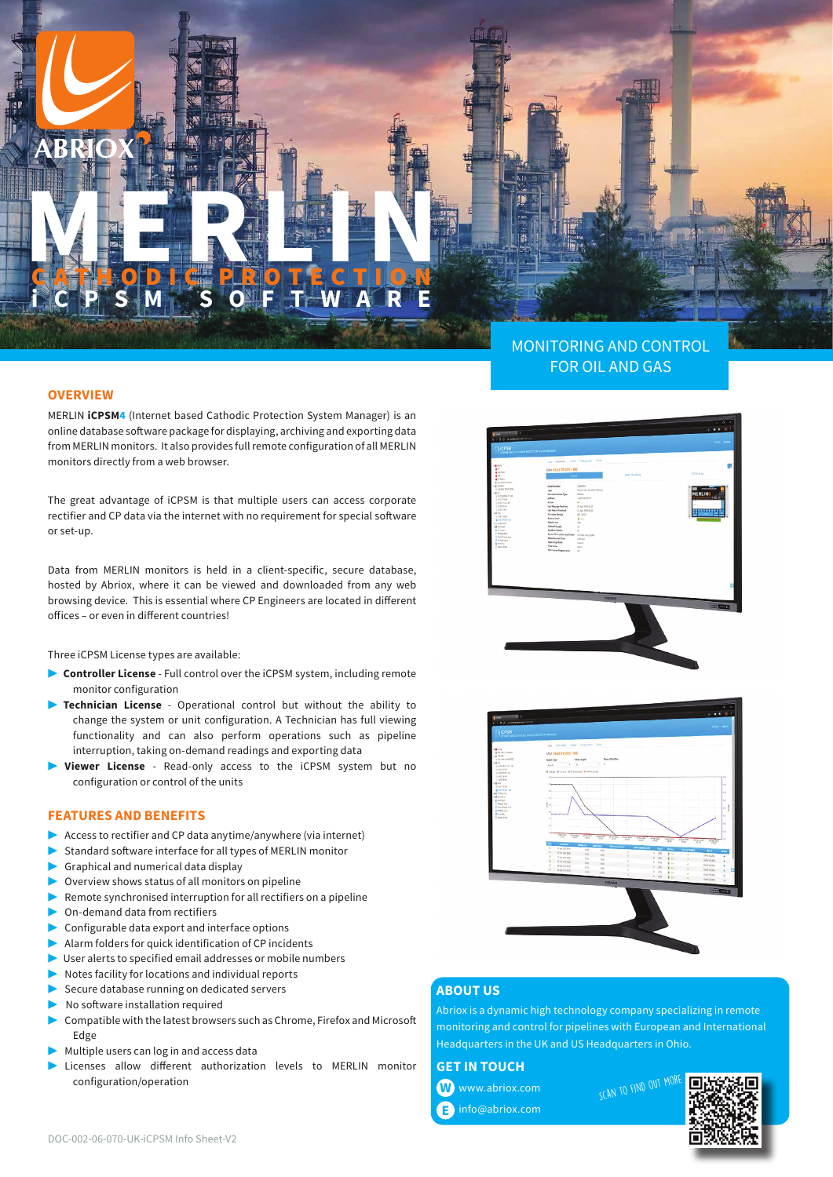MONITORING AND CONTROL FOR OIL AND GAS

### **OVERVIEW**

MERLIN **iCPSM4** (Internet based Cathodic Protection System Manager) is an online database software package for displaying, archiving and exporting data from MERLIN monitors. It also provides full remote configuration of all MERLIN monitors directly from a web browser.

**MERLINE REPORTED** 

**GATHODIC PROTECTION iCPSM SOFTWARE**

The great advantage of iCPSM is that multiple users can access corporate rectifier and CP data via the internet with no requirement for special software or set-up.

Data from MERLIN monitors is held in a client-specific, secure database, hosted by Abriox, where it can be viewed and downloaded from any web browsing device. This is essential where CP Engineers are located in different offices – or even in different countries!

Three iCPSM License types are available:

- ▶ **Controller License** Full control over the iCPSM system, including remote monitor configuration
- ▶ **Technician License** Operational control but without the ability to change the system or unit configuration. A Technician has full viewing functionality and can also perform operations such as pipeline interruption, taking on-demand readings and exporting data
- Viewer License Read-only access to the iCPSM system but no configuration or control of the units

### **FEATURES AND BENEFITS**

- Access to rectifier and CP data anytime/anywhere (via internet)
- Standard software interface for all types of MERLIN monitor
- Graphical and numerical data display
- Overview shows status of all monitors on pipeline
- Remote synchronised interruption for all rectifiers on a pipeline
- On-demand data from rectifiers
- Configurable data export and interface options
- ▶ Alarm folders for quick identification of CP incidents
- User alerts to specified email addresses or mobile numbers
- Notes facility for locations and individual reports
- Secure database running on dedicated servers
- No software installation required
- ▶  Compatible with the latest browsers such as Chrome, Firefox and Microsoft Edge
- Multiple users can log in and access data
- ▶  Licenses allow different authorization levels to MERLIN monitor configuration/operation





### **ABOUT US**

Abriox is a dynamic high technology company specializing in remote monitoring and control for pipelines with European and International Headquarters in the UK and US Headquarters in Ohio.

## **GET IN TOUCH**

 www.abriox.com **W** info@abriox.com **E** SCAN TO FIND OUT MO